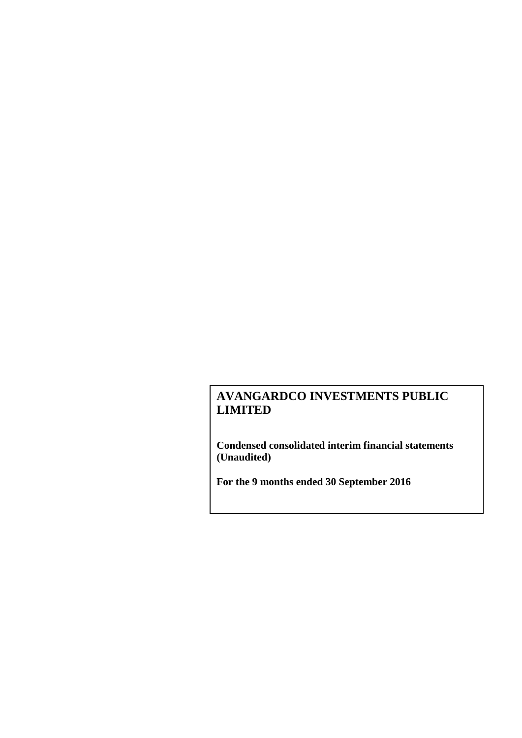**Condensed consolidated interim financial statements (Unaudited)**

**For the 9 months ended 30 September 2016**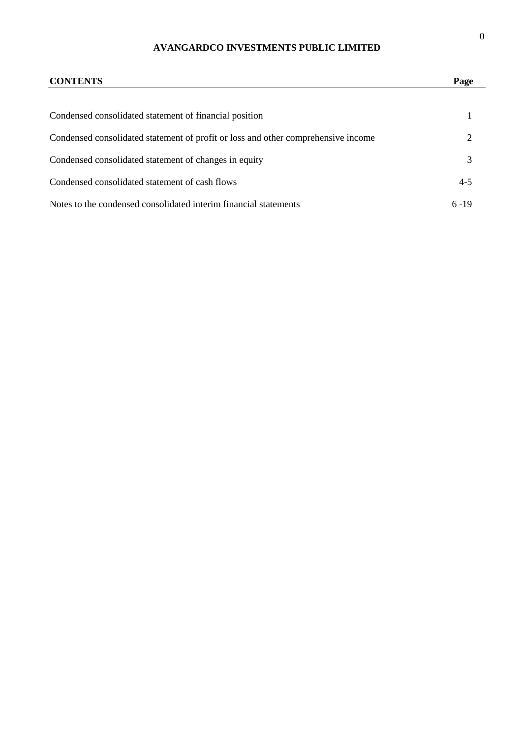| <b>CONTENTS</b>                                                                   | Page     |
|-----------------------------------------------------------------------------------|----------|
|                                                                                   |          |
| Condensed consolidated statement of financial position                            |          |
| Condensed consolidated statement of profit or loss and other comprehensive income | 2        |
| Condensed consolidated statement of changes in equity                             | 3        |
| Condensed consolidated statement of cash flows                                    | $4 - 5$  |
| Notes to the condensed consolidated interim financial statements                  | $6 - 19$ |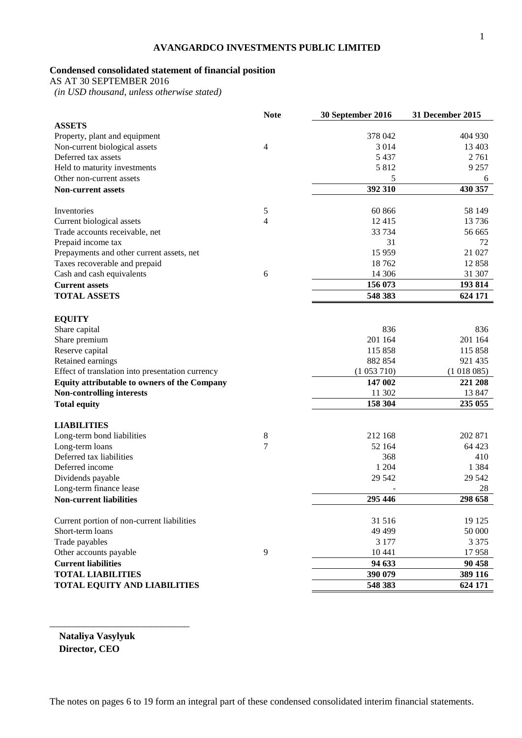# **Condensed consolidated statement of financial position**

AS AT 30 SEPTEMBER 2016

 *(in USD thousand, unless otherwise stated)*

|                                                  | <b>Note</b>    | 30 September 2016 | 31 December 2015 |
|--------------------------------------------------|----------------|-------------------|------------------|
| <b>ASSETS</b>                                    |                |                   |                  |
| Property, plant and equipment                    |                | 378 042           | 404 930          |
| Non-current biological assets                    | $\overline{4}$ | 3 0 1 4           | 13 403           |
| Deferred tax assets                              |                | 5 4 3 7           | 2 7 6 1          |
| Held to maturity investments                     |                | 5812              | 9 2 5 7          |
| Other non-current assets                         |                | 5                 | 6                |
| <b>Non-current assets</b>                        |                | 392 310           | 430 357          |
|                                                  |                |                   |                  |
| Inventories                                      | 5              | 60 866            | 58 149           |
| Current biological assets                        | 4              | 12 4 15           | 13 7 36          |
| Trade accounts receivable, net                   |                | 33 7 34           | 56 665           |
| Prepaid income tax                               |                | 31                | 72               |
| Prepayments and other current assets, net        |                | 15 9 59           | 21 027           |
| Taxes recoverable and prepaid                    |                | 18762             | 12858            |
| Cash and cash equivalents                        | 6              | 14 30 6           | 31 307           |
| <b>Current assets</b>                            |                | 156 073           | 193 814          |
| <b>TOTAL ASSETS</b>                              |                | 548 383           | 624 171          |
| <b>EQUITY</b>                                    |                |                   |                  |
| Share capital                                    |                | 836               | 836              |
| Share premium                                    |                | 201 164           | 201 164          |
| Reserve capital                                  |                | 115 858           | 115 858          |
| Retained earnings                                |                | 882 854           | 921 435          |
| Effect of translation into presentation currency |                | (1053710)         | (1018085)        |
| Equity attributable to owners of the Company     |                | 147 002           | 221 208          |
| <b>Non-controlling interests</b>                 |                | 11 302            | 13 847           |
| <b>Total equity</b>                              |                | 158 304           | 235 055          |
|                                                  |                |                   |                  |
| <b>LIABILITIES</b>                               |                |                   |                  |
| Long-term bond liabilities                       | 8              | 212 168           | 202 871          |
| Long-term loans                                  | $\overline{7}$ | 52 164            | 64 423           |
| Deferred tax liabilities                         |                | 368               | 410              |
| Deferred income                                  |                | 1 204             | 1 3 8 4          |
| Dividends payable                                |                | 29 5 42           | 29 542           |
| Long-term finance lease                          |                |                   | 28               |
| <b>Non-current liabilities</b>                   |                | 295 446           | 298 658          |
| Current portion of non-current liabilities       |                | 31 516            | 19 125           |
| Short-term loans                                 |                | 49 4 99           | 50 000           |
|                                                  |                |                   |                  |
| Trade payables                                   |                | 3 1 7 7           | 3 3 7 5          |
| Other accounts payable                           | 9              | 10 441            | 17958            |
| <b>Current liabilities</b>                       |                | 94 633            | 90 458           |
| <b>TOTAL LIABILITIES</b>                         |                | 390 079           | 389 116          |
| <b>TOTAL EQUITY AND LIABILITIES</b>              |                | 548 383           | 624 171          |

**Nataliya Vasylyuk Director, CEO** 

\_\_\_\_\_\_\_\_\_\_\_\_\_\_\_\_\_\_\_\_\_\_\_\_\_\_\_\_\_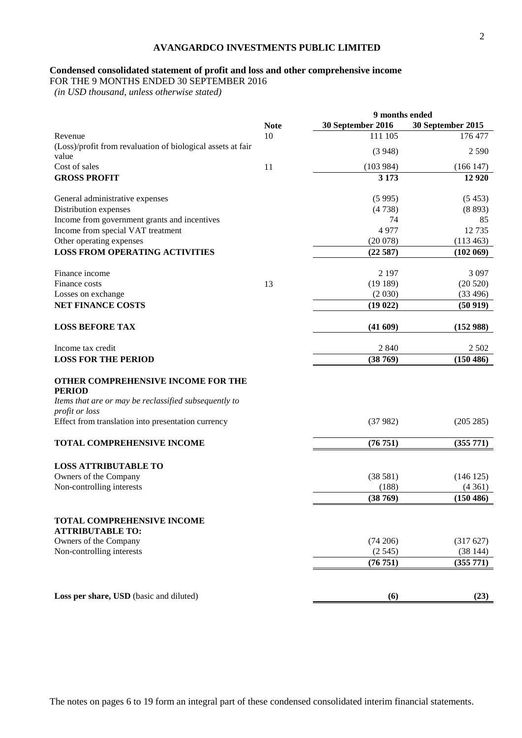# **Condensed consolidated statement of profit and loss and other comprehensive income**

FOR THE 9 MONTHS ENDED 30 SEPTEMBER 2016

 *(in USD thousand, unless otherwise stated)*

|                                                             |             | 9 months ended    |                   |
|-------------------------------------------------------------|-------------|-------------------|-------------------|
|                                                             | <b>Note</b> | 30 September 2016 | 30 September 2015 |
| Revenue                                                     | 10          | 111 105           | 176 477           |
| (Loss)/profit from revaluation of biological assets at fair |             |                   |                   |
| value                                                       |             | (3948)            | 2 5 9 0           |
| Cost of sales                                               | 11          | (103984)          | (166147)          |
| <b>GROSS PROFIT</b>                                         |             | 3 1 7 3           | 12 9 20           |
|                                                             |             |                   |                   |
| General administrative expenses                             |             | (5995)            | (5453)            |
| Distribution expenses                                       |             | (4738)            | (8893)            |
| Income from government grants and incentives                |             | 74                | 85                |
| Income from special VAT treatment                           |             | 4977              | 12 7 35           |
| Other operating expenses                                    |             | (20078)           | (113 463)         |
| <b>LOSS FROM OPERATING ACTIVITIES</b>                       |             | (22587)           | (102 069)         |
| Finance income                                              |             | 2 1 9 7           | 3 0 9 7           |
| Finance costs                                               | 13          | (19189)           | (20520)           |
| Losses on exchange                                          |             | (2030)            | (33 496)          |
| <b>NET FINANCE COSTS</b>                                    |             | (19022)           | (50919)           |
|                                                             |             |                   |                   |
| <b>LOSS BEFORE TAX</b>                                      |             | (41609)           | (152988)          |
| Income tax credit                                           |             | 2 8 4 0           | 2 5 0 2           |
| <b>LOSS FOR THE PERIOD</b>                                  |             | (38769)           | (150 486)         |
|                                                             |             |                   |                   |
| OTHER COMPREHENSIVE INCOME FOR THE                          |             |                   |                   |
| <b>PERIOD</b>                                               |             |                   |                   |
| Items that are or may be reclassified subsequently to       |             |                   |                   |
| profit or loss                                              |             |                   |                   |
| Effect from translation into presentation currency          |             | (37982)           | (205 285)         |
|                                                             |             |                   |                   |
| <b>TOTAL COMPREHENSIVE INCOME</b>                           |             | (76751)           | (355 771)         |
| <b>LOSS ATTRIBUTABLE TO</b>                                 |             |                   |                   |
| Owners of the Company                                       |             | (38581)           | (146125)          |
| Non-controlling interests                                   |             | (188)             | (4361)            |
|                                                             |             | (38769)           | (150 486)         |
|                                                             |             |                   |                   |
| <b>TOTAL COMPREHENSIVE INCOME</b>                           |             |                   |                   |
| <b>ATTRIBUTABLE TO:</b>                                     |             |                   |                   |
| Owners of the Company                                       |             | (74206)           | (317627)          |
| Non-controlling interests                                   |             | (2545)            | (38144)           |
|                                                             |             | (76751)           | (355 771)         |
|                                                             |             |                   |                   |
|                                                             |             |                   |                   |
| Loss per share, USD (basic and diluted)                     |             | (6)               | (23)              |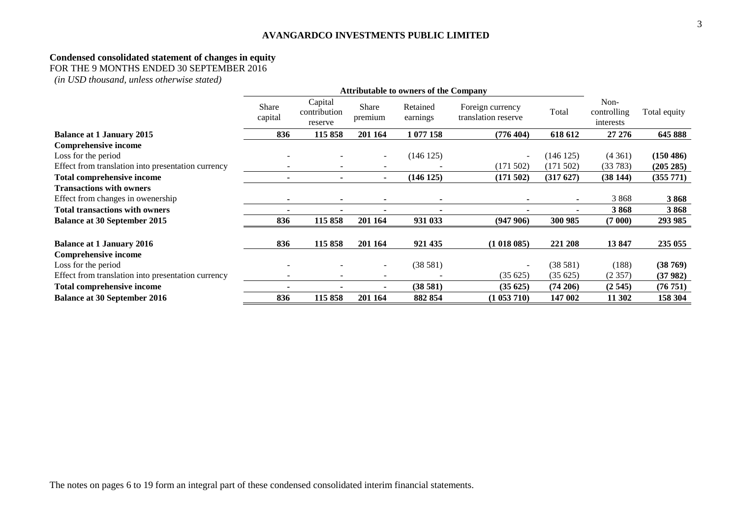#### **Condensed consolidated statement of changes in equity**

FOR THE 9 MONTHS ENDED 30 SEPTEMBER 2016

*(in USD thousand, unless otherwise stated)*

|                                                    | <b>Attributable to owners of the Company</b> |                                    |                  |                      |                                         |             |                                  |              |
|----------------------------------------------------|----------------------------------------------|------------------------------------|------------------|----------------------|-----------------------------------------|-------------|----------------------------------|--------------|
|                                                    | Share<br>capital                             | Capital<br>contribution<br>reserve | Share<br>premium | Retained<br>earnings | Foreign currency<br>translation reserve | Total       | Non-<br>controlling<br>interests | Total equity |
| <b>Balance at 1 January 2015</b>                   | 836                                          | 115 858                            | 201 164          | 1 077 158            | (776 404)                               | 618 612     | 27 27 6                          | 645 888      |
| Comprehensive income                               |                                              |                                    |                  |                      |                                         |             |                                  |              |
| Loss for the period                                |                                              |                                    | $\sim$           | (146125)             | $\overline{\phantom{a}}$                | (146125)    | (4361)                           | (150 486)    |
| Effect from translation into presentation currency |                                              |                                    |                  |                      | (171502)                                | (171502)    | (33783)                          | (205 285)    |
| <b>Total comprehensive income</b>                  |                                              |                                    |                  | (146 125)            | (171502)                                | (317627)    | (38144)                          | (355 771)    |
| <b>Transactions with owners</b>                    |                                              |                                    |                  |                      |                                         |             |                                  |              |
| Effect from changes in owenership                  |                                              |                                    |                  |                      |                                         |             | 3868                             | 3868         |
| <b>Total transactions with owners</b>              |                                              |                                    |                  |                      |                                         |             | 3868                             | 3868         |
| <b>Balance at 30 September 2015</b>                | 836                                          | 115858                             | 201 164          | 931 033              | (947906)                                | 300 985     | (7000)                           | 293 985      |
| <b>Balance at 1 January 2016</b>                   | 836                                          | 115 858                            | 201 164          | 921 435              | (1018085)                               | 221 208     | 13847                            | 235 055      |
| <b>Comprehensive income</b>                        |                                              |                                    |                  |                      |                                         |             |                                  |              |
| Loss for the period                                |                                              |                                    |                  | (38581)              | $\overline{\phantom{0}}$                | (38581)     | (188)                            | (38769)      |
| Effect from translation into presentation currency |                                              |                                    |                  |                      | (35625)                                 | (35625)     | (2357)                           | (37982)      |
| <b>Total comprehensive income</b>                  |                                              |                                    |                  | (38581)              | (35625)                                 | $(74\,206)$ | (2545)                           | (76 751)     |
| <b>Balance at 30 September 2016</b>                | 836                                          | 115858                             | 201 164          | 882 854              | (1053710)                               | 147 002     | 11 302                           | 158 304      |

The notes on pages 6 to 19 form an integral part of these condensed consolidated interim financial statements.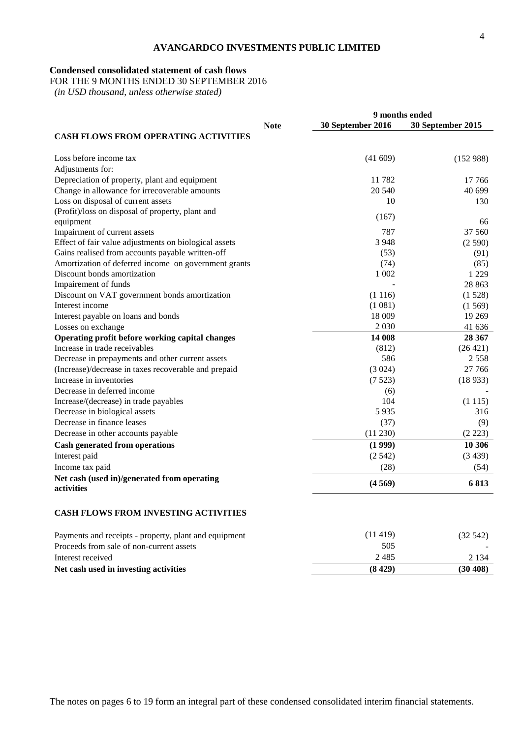### **Condensed consolidated statement of cash flows**

FOR THE 9 MONTHS ENDED 30 SEPTEMBER 2016

 *(in USD thousand, unless otherwise stated)*

|                                                       |             | 9 months ended    |                   |  |
|-------------------------------------------------------|-------------|-------------------|-------------------|--|
|                                                       | <b>Note</b> | 30 September 2016 | 30 September 2015 |  |
| <b>CASH FLOWS FROM OPERATING ACTIVITIES</b>           |             |                   |                   |  |
| Loss before income tax                                |             | (41609)           | (152988)          |  |
| Adjustments for:                                      |             |                   |                   |  |
| Depreciation of property, plant and equipment         |             | 11782             | 17 766            |  |
| Change in allowance for irrecoverable amounts         |             | 20 540            | 40 699            |  |
| Loss on disposal of current assets                    |             | 10                | 130               |  |
| (Profit)/loss on disposal of property, plant and      |             | (167)             |                   |  |
| equipment                                             |             |                   | 66                |  |
| Impairment of current assets                          |             | 787               | 37 560            |  |
| Effect of fair value adjustments on biological assets |             | 3948              | (2590)            |  |
| Gains realised from accounts payable written-off      |             | (53)              | (91)              |  |
| Amortization of deferred income on government grants  |             | (74)              | (85)              |  |
| Discount bonds amortization                           |             | 1 0 0 2           | 1 2 2 9           |  |
| Impairement of funds                                  |             |                   | 28 863            |  |
| Discount on VAT government bonds amortization         |             | (1116)            | (1528)            |  |
| Interest income                                       |             | (1 081)           | (1569)            |  |
| Interest payable on loans and bonds                   |             | 18 009            | 19 269            |  |
| Losses on exchange                                    |             | 2 0 3 0           | 41 636            |  |
| Operating profit before working capital changes       |             | 14 008            | 28 367            |  |
| Increase in trade receivables                         |             | (812)             | (26 421)          |  |
| Decrease in prepayments and other current assets      |             | 586               | 2 5 5 8           |  |
| (Increase)/decrease in taxes recoverable and prepaid  |             | (3024)            | 27 766            |  |
| Increase in inventories                               |             | (7523)            | (18933)           |  |
| Decrease in deferred income                           |             | (6)               |                   |  |
| Increase/(decrease) in trade payables                 |             | 104               | (1115)            |  |
| Decrease in biological assets                         |             | 5 9 3 5           | 316               |  |
| Decrease in finance leases                            |             | (37)              | (9)               |  |
| Decrease in other accounts payable                    |             | (11 230)          | (2 223)           |  |
| <b>Cash generated from operations</b>                 |             | (1999)            | 10 30 6           |  |
| Interest paid                                         |             | (2.542)           | (3439)            |  |
| Income tax paid                                       |             | (28)              | (54)              |  |
| Net cash (used in)/generated from operating           |             |                   |                   |  |
| activities                                            |             | (4569)            | 6813              |  |
| <b>CASH FLOWS FROM INVESTING ACTIVITIES</b>           |             |                   |                   |  |
| Payments and receipts - property, plant and equipment |             | (11419)           | (32, 542)         |  |
| Proceeds from sale of non-current assets              |             | 505               |                   |  |
| Interest received                                     |             | 2485              | 2 1 3 4           |  |

**Net cash used in investing activities (8 429) (30 408)**

4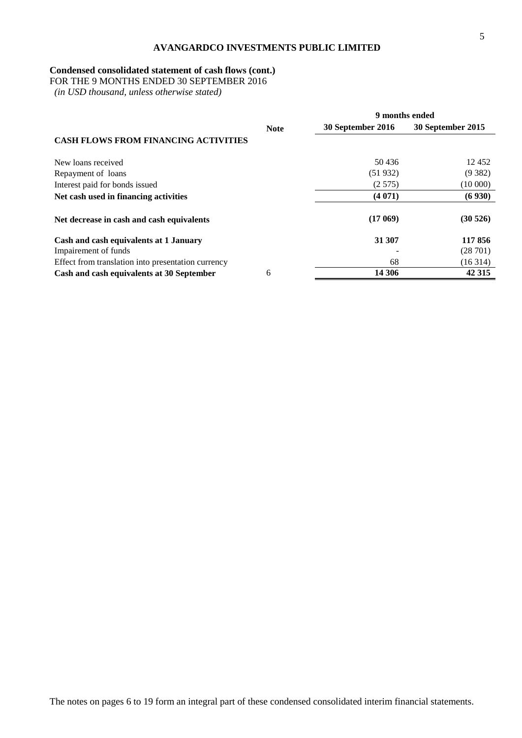# **Condensed consolidated statement of cash flows (cont.)**

FOR THE 9 MONTHS ENDED 30 SEPTEMBER 2016

 *(in USD thousand, unless otherwise stated)*

|                                                    |             | 9 months ended    |                   |  |  |
|----------------------------------------------------|-------------|-------------------|-------------------|--|--|
|                                                    | <b>Note</b> | 30 September 2016 | 30 September 2015 |  |  |
| <b>CASH FLOWS FROM FINANCING ACTIVITIES</b>        |             |                   |                   |  |  |
| New loans received                                 |             | 50436             | 12 452            |  |  |
| Repayment of loans                                 |             | (51932)           | (9382)            |  |  |
| Interest paid for bonds issued                     |             | (2.575)           | (10000)           |  |  |
| Net cash used in financing activities              |             | (4071)            | (6930)            |  |  |
| Net decrease in cash and cash equivalents          |             | (17069)           | (30526)           |  |  |
| Cash and cash equivalents at 1 January             |             | 31 307            | 117856            |  |  |
| Impairement of funds                               |             |                   | (28701)           |  |  |
| Effect from translation into presentation currency |             | 68                | (16314)           |  |  |
| Cash and cash equivalents at 30 September          | 6           | 14 30 6           | 42 315            |  |  |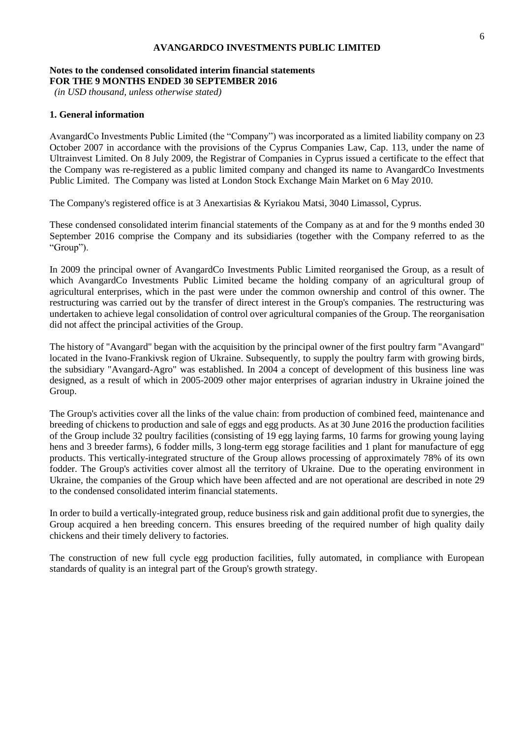### **Notes to the condensed consolidated interim financial statements FOR THE 9 MONTHS ENDED 30 SEPTEMBER 2016**

*(in USD thousand, unless otherwise stated)*

### **1. General information**

AvangardCo Investments Public Limited (the "Company") was incorporated as a limited liability company on 23 October 2007 in accordance with the provisions of the Cyprus Companies Law, Cap. 113, under the name of Ultrainvest Limited. On 8 July 2009, the Registrar of Companies in Cyprus issued a certificate to the effect that the Company was re-registered as a public limited company and changed its name to AvangardCo Investments Public Limited. The Company was listed at London Stock Exchange Main Market on 6 May 2010.

The Company's registered office is at 3 Anexartisias & Kyriakou Matsi, 3040 Limassol, Cyprus.

These condensed consolidated interim financial statements of the Company as at and for the 9 months ended 30 September 2016 comprise the Company and its subsidiaries (together with the Company referred to as the "Group").

In 2009 the principal owner of AvangardCo Investments Public Limited reorganised the Group, as a result of which AvangardCo Investments Public Limited became the holding company of an agricultural group of agricultural enterprises, which in the past were under the common ownership and control of this owner. The restructuring was carried out by the transfer of direct interest in the Group's companies. The restructuring was undertaken to achieve legal consolidation of control over agricultural companies of the Group. The reorganisation did not affect the principal activities of the Group.

The history of "Avangard" began with the acquisition by the principal owner of the first poultry farm "Avangard" located in the Ivano-Frankivsk region of Ukraine. Subsequently, to supply the poultry farm with growing birds, the subsidiary "Avangard-Agro" was established. In 2004 a concept of development of this business line was designed, as a result of which in 2005-2009 other major enterprises of agrarian industry in Ukraine joined the Group.

The Group's activities cover all the links of the value chain: from production of combined feed, maintenance and breeding of chickens to production and sale of eggs and egg products. As at 30 June 2016 the production facilities of the Group include 32 poultry facilities (consisting of 19 egg laying farms, 10 farms for growing young laying hens and 3 breeder farms), 6 fodder mills, 3 long-term egg storage facilities and 1 plant for manufacture of egg products. This vertically-integrated structure of the Group allows processing of approximately 78% of its own fodder. The Group's activities cover almost all the territory of Ukraine. Due to the operating environment in Ukraine, the companies of the Group which have been affected and are not operational are described in note 29 to the condensed consolidated interim financial statements.

In order to build a vertically-integrated group, reduce business risk and gain additional profit due to synergies, the Group acquired a hen breeding concern. This ensures breeding of the required number of high quality daily chickens and their timely delivery to factories.

The construction of new full cycle egg production facilities, fully automated, in compliance with European standards of quality is an integral part of the Group's growth strategy.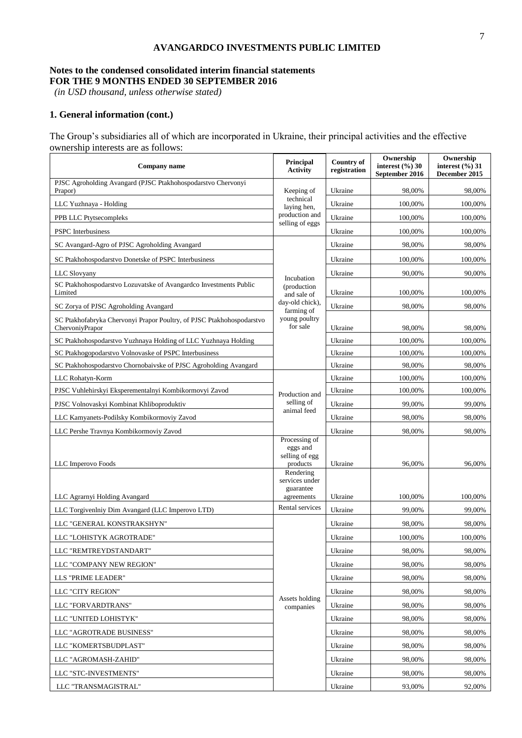# **Notes to the condensed consolidated interim financial statements FOR THE 9 MONTHS ENDED 30 SEPTEMBER 2016**

*(in USD thousand, unless otherwise stated)*

# **1. General information (cont.)**

The Group's subsidiaries all of which are incorporated in Ukraine, their principal activities and the effective ownership interests are as follows:

| Company name                                                                             | <b>Principal</b><br><b>Activity</b>                     | <b>Country of</b><br>registration | Ownership<br>interest $(\%$ ) 30<br>September 2016 | Ownership<br>interest $(\%$ ) 31<br>December 2015 |
|------------------------------------------------------------------------------------------|---------------------------------------------------------|-----------------------------------|----------------------------------------------------|---------------------------------------------------|
| PJSC Agroholding Avangard (PJSC Ptakhohospodarstvo Chervonyi<br>Prapor)                  | Keeping of                                              | Ukraine                           | 98,00%                                             | 98,00%                                            |
| LLC Yuzhnaya - Holding                                                                   | technical<br>laying hen,                                | Ukraine                           | 100,00%                                            | 100,00%                                           |
| PPB LLC Ptytsecompleks                                                                   | production and                                          | Ukraine                           | 100,00%                                            | 100,00%                                           |
| <b>PSPC</b> Interbusiness                                                                | selling of eggs                                         | Ukraine                           | 100,00%                                            | 100,00%                                           |
| SC Avangard-Agro of PJSC Agroholding Avangard                                            |                                                         | Ukraine                           | 98,00%                                             | 98,00%                                            |
| SC Ptakhohospodarstvo Donetske of PSPC Interbusiness                                     |                                                         | Ukraine                           | 100,00%                                            | 100,00%                                           |
| LLC Slovyany                                                                             |                                                         | Ukraine                           | 90,00%                                             | 90,00%                                            |
| SC Ptakhohospodarstvo Lozuvatske of Avangardco Investments Public<br>Limited             | Incubation<br>(production<br>and sale of                | Ukraine                           | 100,00%                                            | 100,00%                                           |
| SC Zorya of PJSC Agroholding Avangard                                                    | day-old chick),<br>farming of                           | Ukraine                           | 98,00%                                             | 98,00%                                            |
| SC Ptakhofabryka Chervonyi Prapor Poultry, of PJSC Ptakhohospodarstvo<br>ChervoniyPrapor | young poultry<br>for sale                               | Ukraine                           | 98,00%                                             | 98,00%                                            |
| SC Ptakhohospodarstvo Yuzhnaya Holding of LLC Yuzhnaya Holding                           |                                                         | Ukraine                           | 100,00%                                            | 100,00%                                           |
| SC Ptakhogopodarstvo Volnovaske of PSPC Interbusiness                                    |                                                         | Ukraine                           | 100,00%                                            | 100,00%                                           |
| SC Ptakhohospodarstvo Chornobaivske of PJSC Agroholding Avangard                         |                                                         | Ukraine                           | 98,00%                                             | 98,00%                                            |
| LLC Rohatyn-Korm                                                                         |                                                         | Ukraine                           | 100,00%                                            | 100,00%                                           |
| PJSC Vuhlehirskyi Eksperementalnyi Kombikormovyi Zavod                                   | Production and                                          | Ukraine                           | 100,00%                                            | 100,00%                                           |
| PJSC Volnovaskyi Kombinat Khliboproduktiv                                                | selling of<br>animal feed                               | Ukraine                           | 99,00%                                             | 99,00%                                            |
| LLC Kamyanets-Podilsky Kombikormoviy Zavod                                               |                                                         | Ukraine                           | 98,00%                                             | 98,00%                                            |
| LLC Pershe Travnya Kombikormoviy Zavod                                                   |                                                         | Ukraine                           | 98,00%                                             | 98,00%                                            |
| LLC Imperovo Foods                                                                       | Processing of<br>eggs and<br>selling of egg<br>products | Ukraine                           | 96,00%                                             | 96,00%                                            |
|                                                                                          | Rendering<br>services under<br>guarantee                |                                   |                                                    |                                                   |
| LLC Agramyi Holding Avangard                                                             | agreements<br>Rental services                           | Ukraine                           | 100,00%                                            | 100,00%                                           |
| LLC Torgivenlniy Dim Avangard (LLC Imperovo LTD)                                         |                                                         | Ukraine                           | 99,00%                                             | 99,00%                                            |
| LLC "GENERAL KONSTRAKSHYN"                                                               |                                                         | Ukraine                           | 98.00%                                             | 98,00%                                            |
| LLC "LOHISTYK AGROTRADE"                                                                 |                                                         | Ukraine                           | 100,00%                                            | 100,00%                                           |
| LLC "REMTREYDSTANDART"                                                                   |                                                         | Ukraine                           | 98,00%                                             | 98,00%                                            |
| LLC "COMPANY NEW REGION"                                                                 |                                                         | Ukraine                           | 98,00%                                             | 98,00%                                            |
| LLS "PRIME LEADER"                                                                       |                                                         | Ukraine                           | 98,00%                                             | 98,00%                                            |
| LLC "CITY REGION"                                                                        | Assets holding                                          | Ukraine                           | 98,00%                                             | 98,00%                                            |
| LLC "FORVARDTRANS"                                                                       | companies                                               | Ukraine                           | 98,00%                                             | 98,00%                                            |
| LLC "UNITED LOHISTYK"                                                                    |                                                         | Ukraine                           | 98,00%                                             | 98,00%                                            |
| LLC "AGROTRADE BUSINESS"                                                                 |                                                         | Ukraine                           | 98,00%                                             | 98,00%                                            |
| LLC "KOMERTSBUDPLAST"                                                                    |                                                         | Ukraine                           | 98,00%                                             | 98,00%                                            |
| LLC "AGROMASH-ZAHID"                                                                     |                                                         | Ukraine                           | 98,00%                                             | 98,00%                                            |
| LLC "STC-INVESTMENTS"                                                                    |                                                         | Ukraine                           | 98,00%                                             | 98,00%                                            |
| LLC "TRANSMAGISTRAL"                                                                     |                                                         | Ukraine                           | 93,00%                                             | 92,00%                                            |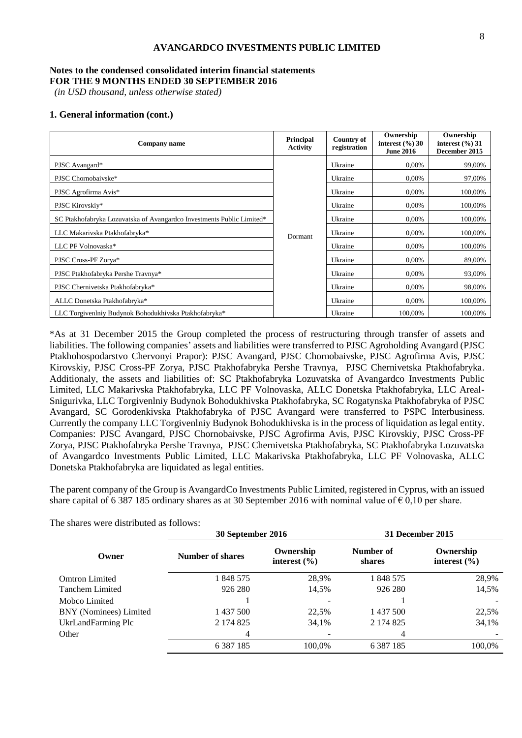#### **Notes to the condensed consolidated interim financial statements FOR THE 9 MONTHS ENDED 30 SEPTEMBER 2016**

*(in USD thousand, unless otherwise stated)*

#### **1. General information (cont.)**

| Company name                                                          | Principal<br><b>Activity</b> | <b>Country of</b><br>registration | Ownership<br>interest $(\%$ ) 30<br><b>June 2016</b> | Ownership<br>interest $(\%$ ) 31<br>December 2015 |
|-----------------------------------------------------------------------|------------------------------|-----------------------------------|------------------------------------------------------|---------------------------------------------------|
| PJSC Avangard*                                                        |                              | Ukraine                           | 0.00%                                                | 99,00%                                            |
| PJSC Chornobaivske*                                                   |                              | Ukraine                           | 0,00%                                                | 97,00%                                            |
| PJSC Agrofirma Avis*                                                  |                              | Ukraine                           | 0,00%                                                | 100,00%                                           |
| PJSC Kirovskiy*                                                       |                              | Ukraine                           | 0,00%                                                | 100,00%                                           |
| SC Ptakhofabryka Lozuvatska of Avangardco Investments Public Limited* |                              | Ukraine                           | 0,00%                                                | 100,00%                                           |
| LLC Makarivska Ptakhofabryka*                                         | Dormant                      | Ukraine                           | 0,00%                                                | 100,00%                                           |
| LLC PF Volnovaska*                                                    |                              | Ukraine                           | 0,00%                                                | 100,00%                                           |
| PJSC Cross-PF Zorya*                                                  |                              | Ukraine                           | 0,00%                                                | 89,00%                                            |
| PJSC Ptakhofabryka Pershe Travnya*                                    |                              | Ukraine                           | 0,00%                                                | 93,00%                                            |
| PJSC Chernivetska Ptakhofabryka*                                      |                              | Ukraine                           | 0,00%                                                | 98,00%                                            |
| ALLC Donetska Ptakhofabryka*                                          |                              | Ukraine                           | 0,00%                                                | 100,00%                                           |
| LLC Torgivenlniy Budynok Bohodukhivska Ptakhofabryka*                 |                              | Ukraine                           | 100,00%                                              | 100.00%                                           |

\*As at 31 December 2015 the Group completed the process of restructuring through transfer of assets and liabilities. The following companies' assets and liabilities were transferred to PJSC Agroholding Avangard (PJSC Ptakhohospodarstvo Chervonyi Prapor): PJSC Avangard, PJSC Chornobaivske, PJSC Agrofirma Avis, PJSC Kirovskiy, PJSC Cross-PF Zorya, PJSC Ptakhofabryka Pershe Travnya, PJSC Chernivetska Ptakhofabryka. Additionaly, the assets and liabilities of: SC Ptakhofabryka Lozuvatska of Avangardco Investments Public Limited, LLC Makarivska Ptakhofabryka, LLC PF Volnovaska, ALLC Donetska Ptakhofabryka, LLC Areal-Snigurivka, LLC Torgivenlniy Budynok Bohodukhivska Ptakhofabryka, SC Rogatynska Ptakhofabryka of PJSC Avangard, SC Gorodenkivska Ptakhofabryka of PJSC Avangard were transferred to PSPC Interbusiness. Currently the company LLC Torgivenlniy Budynok Bohodukhivska is in the process of liquidation as legal entity. Companies: PJSC Avangard, PJSC Chornobaivske, PJSC Agrofirma Avis, PJSC Kirovskiy, PJSC Cross-PF Zorya, PJSC Ptakhofabryka Pershe Travnya, PJSC Chernivetska Ptakhofabryka, SC Ptakhofabryka Lozuvatska of Avangardco Investments Public Limited, LLC Makarivska Ptakhofabryka, LLC PF Volnovaska, ALLC Donetska Ptakhofabryka are liquidated as legal entities.

The parent company of the Group is AvangardCo Investments Public Limited, registered in Cyprus, with an issued share capital of 6 387 185 ordinary shares as at 30 September 2016 with nominal value of  $\epsilon$  0,10 per share.

|                        | 30 September 2016 |                               | 31 December 2015    |                               |  |
|------------------------|-------------------|-------------------------------|---------------------|-------------------------------|--|
| Owner                  | Number of shares  | Ownership<br>interest $(\% )$ | Number of<br>shares | Ownership<br>interest $(\% )$ |  |
| <b>Omtron Limited</b>  | 1 848 575         | 28,9%                         | 1 848 575           | 28,9%                         |  |
| Tanchem Limited        | 926 280           | 14,5%                         | 926 280             | 14,5%                         |  |
| Mobco Limited          |                   |                               |                     |                               |  |
| BNY (Nominees) Limited | 1 437 500         | 22.5%                         | 1 437 500           | 22,5%                         |  |
| UkrLandFarming Plc     | 2 174 825         | 34,1%                         | 2 174 825           | 34,1%                         |  |
| Other                  | 4                 |                               | 4                   |                               |  |
|                        | 6 3 8 7 1 8 5     | 100.0%                        | 6 3 8 7 1 8 5       | 100,0%                        |  |

The shares were distributed as follows: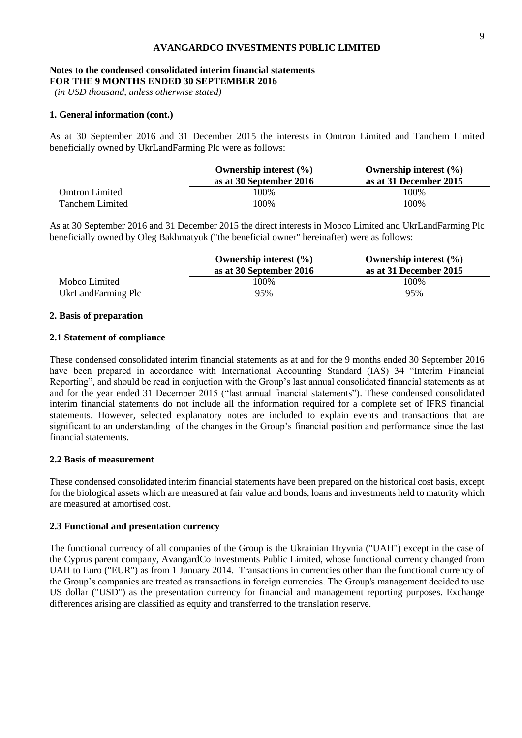#### **Notes to the condensed consolidated interim financial statements FOR THE 9 MONTHS ENDED 30 SEPTEMBER 2016**

*(in USD thousand, unless otherwise stated)*

#### **1. General information (cont.)**

As at 30 September 2016 and 31 December 2015 the interests in Omtron Limited and Tanchem Limited beneficially owned by UkrLandFarming Plc were as follows:

|                       | Ownership interest $(\% )$ | Ownership interest $(\% )$ |
|-----------------------|----------------------------|----------------------------|
|                       | as at 30 September 2016    | as at 31 December 2015     |
| <b>Omtron Limited</b> | 100%                       | 100%                       |
| Tanchem Limited       | 100%                       | 100%                       |

As at 30 September 2016 and 31 December 2015 the direct interests in Mobco Limited and UkrLandFarming Plc beneficially owned by Oleg Bakhmatyuk ("the beneficial owner" hereinafter) were as follows:

|                    | Ownership interest $(\% )$<br>as at 30 September 2016 | Ownership interest $(\% )$<br>as at 31 December 2015 |  |  |
|--------------------|-------------------------------------------------------|------------------------------------------------------|--|--|
| Mobco Limited      | 100\%                                                 | 100%                                                 |  |  |
| UkrLandFarming Plc | 95%                                                   | 95%                                                  |  |  |

#### **2. Basis of preparation**

#### **2.1 Statement of compliance**

These condensed consolidated interim financial statements as at and for the 9 months ended 30 September 2016 have been prepared in accordance with International Accounting Standard (IAS) 34 "Interim Financial Reporting", and should be read in conjuction with the Group's last annual consolidated financial statements as at and for the year ended 31 December 2015 ("last annual financial statements"). These condensed consolidated interim financial statements do not include all the information required for a complete set of IFRS financial statements. However, selected explanatory notes are included to explain events and transactions that are significant to an understanding of the changes in the Group's financial position and performance since the last financial statements.

#### **2.2 Basis of measurement**

These condensed consolidated interim financial statements have been prepared on the historical cost basis, except for the biological assets which are measured at fair value and bonds, loans and investments held to maturity which are measured at amortised cost.

#### **2.3 Functional and presentation currency**

The functional currency of all companies of the Group is the Ukrainian Hryvnia ("UAH") except in the case of the Cyprus parent company, AvangardCo Investments Public Limited, whose functional currency changed from UAH to Euro ("EUR") as from 1 January 2014. Transactions in currencies other than the functional currency of the Group's companies are treated as transactions in foreign currencies. The Group's management decided to use US dollar ("USD") as the presentation currency for financial and management reporting purposes. Exchange differences arising are classified as equity and transferred to the translation reserve.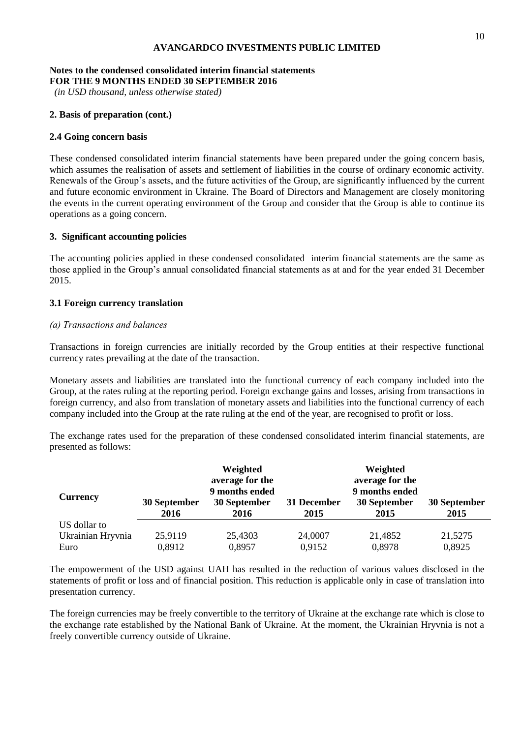#### **Notes to the condensed consolidated interim financial statements FOR THE 9 MONTHS ENDED 30 SEPTEMBER 2016**

*(in USD thousand, unless otherwise stated)*

#### **2. Basis of preparation (cont.)**

#### **2.4 Going concern basis**

These condensed consolidated interim financial statements have been prepared under the going concern basis, which assumes the realisation of assets and settlement of liabilities in the course of ordinary economic activity. Renewals of the Group's assets, and the future activities of the Group, are significantly influenced by the current and future economic environment in Ukraine. The Board of Directors and Management are closely monitoring the events in the current operating environment of the Group and consider that the Group is able to continue its operations as a going concern.

# **3. Significant accounting policies**

The accounting policies applied in these condensed consolidated interim financial statements are the same as those applied in the Group's annual consolidated financial statements as at and for the year ended 31 December 2015.

#### **3.1 Foreign currency translation**

#### *(а) Transactions and balances*

Transactions in foreign currencies are initially recorded by the Group entities at their respective functional currency rates prevailing at the date of the transaction.

Monetary assets and liabilities are translated into the functional currency of each company included into the Group, at the rates ruling at the reporting period. Foreign exchange gains and losses, arising from transactions in foreign currency, and also from translation of monetary assets and liabilities into the functional currency of each company included into the Group at the rate ruling at the end of the year, are recognised to profit or loss.

The exchange rates used for the preparation of these condensed consolidated interim financial statements, are presented as follows:

|                   |                      | Weighted                                                  |                     | Weighted                                                  |                      |
|-------------------|----------------------|-----------------------------------------------------------|---------------------|-----------------------------------------------------------|----------------------|
| <b>Currency</b>   | 30 September<br>2016 | average for the<br>9 months ended<br>30 September<br>2016 | 31 December<br>2015 | average for the<br>9 months ended<br>30 September<br>2015 | 30 September<br>2015 |
| US dollar to      |                      |                                                           |                     |                                                           |                      |
| Ukrainian Hryvnia | 25,9119              | 25,4303                                                   | 24,0007             | 21,4852                                                   | 21,5275              |
| Euro              | 0,8912               | 0,8957                                                    | 0,9152              | 0,8978                                                    | 0,8925               |

The empowerment of the USD against UAH has resulted in the reduction of various values disclosed in the statements of profit or loss and of financial position. This reduction is applicable only in case of translation into presentation currency.

The foreign currencies may be freely convertible to the territory of Ukraine at the exchange rate which is close to the exchange rate established by the National Bank of Ukraine. At the moment, the Ukrainian Hryvnia is not a freely convertible currency outside of Ukraine.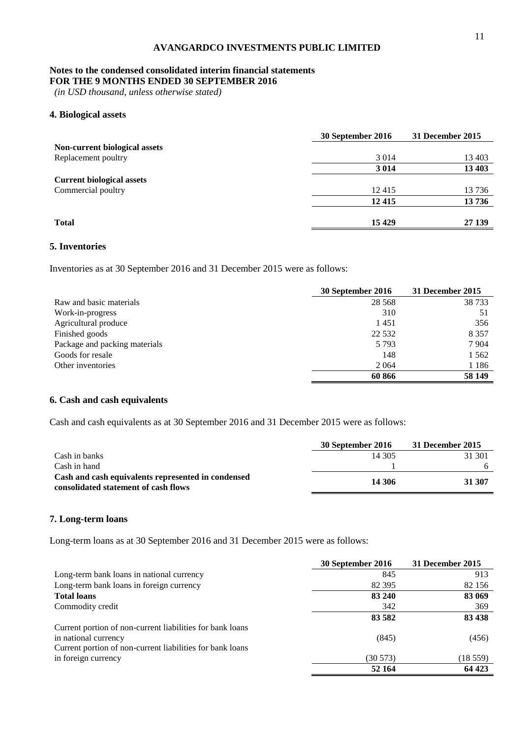#### **Notes to the condensed consolidated interim financial statements FOR THE 9 MONTHS ENDED 30 SEPTEMBER 2016**

*(in USD thousand, unless otherwise stated)*

# **4. Biological assets**

|                                  | 30 September 2016 | 31 December 2015 |
|----------------------------------|-------------------|------------------|
| Non-current biological assets    |                   |                  |
| Replacement poultry              | 3 0 1 4           | 13 403           |
|                                  | 3 0 1 4           | 13 403           |
| <b>Current biological assets</b> |                   |                  |
| Commercial poultry               | 12415             | 13736            |
|                                  | 12 4 15           | 13736            |
| <b>Total</b>                     | 15 4 29           | 27 139           |

# **5. Inventories**

Inventories as at 30 September 2016 and 31 December 2015 were as follows:

|                               | 30 September 2016 | 31 December 2015 |
|-------------------------------|-------------------|------------------|
| Raw and basic materials       | 28 5 68           | 38 733           |
| Work-in-progress              | 310               | 51               |
| Agricultural produce          | 1451              | 356              |
| Finished goods                | 22 5 32           | 8 3 5 7          |
| Package and packing materials | 5 7 9 3           | 7 9 0 4          |
| Goods for resale              | 148               | 1 5 6 2          |
| Other inventories             | 2 0 6 4           | 1 1 8 6          |
|                               | 60 866            | 58 149           |

# **6. Cash and cash equivalents**

Cash and cash equivalents as at 30 September 2016 and 31 December 2015 were as follows:

|                                                                                            | 30 September 2016 | 31 December 2015 |
|--------------------------------------------------------------------------------------------|-------------------|------------------|
| Cash in banks                                                                              | 14 305            | 31 301           |
| Cash in hand                                                                               |                   |                  |
| Cash and cash equivalents represented in condensed<br>consolidated statement of cash flows | 14 306            | 31 307           |

### **7. Long-term loans**

Long-term loans as at 30 September 2016 and 31 December 2015 were as follows:

|                                                           | 30 September 2016 | 31 December 2015 |
|-----------------------------------------------------------|-------------------|------------------|
| Long-term bank loans in national currency                 | 845               | 913              |
| Long-term bank loans in foreign currency                  | 82 3 95           | 82 156           |
| <b>Total loans</b>                                        | 83 240            | 83 069           |
| Commodity credit                                          | 342               | 369              |
|                                                           | 83 5 82           | 83 438           |
| Current portion of non-current liabilities for bank loans |                   |                  |
| in national currency                                      | (845)             | (456)            |
| Current portion of non-current liabilities for bank loans |                   |                  |
| in foreign currency                                       | (30573)           | (18 559)         |
|                                                           | 52 164            | 64 423           |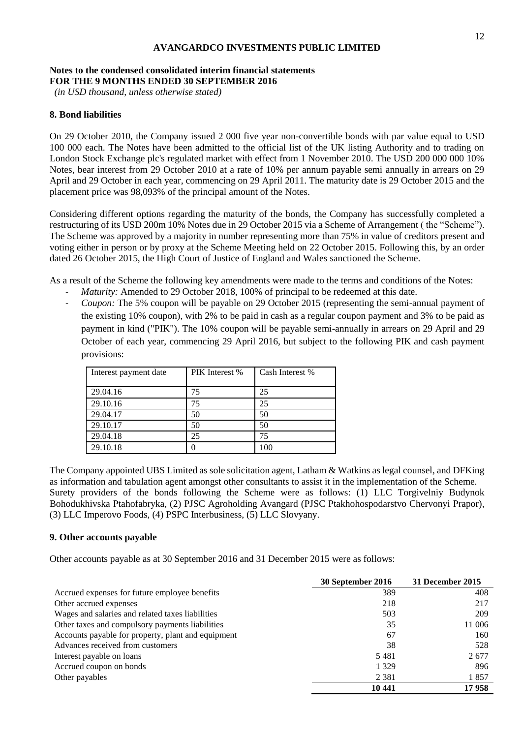# **Notes to the condensed consolidated interim financial statements FOR THE 9 MONTHS ENDED 30 SEPTEMBER 2016**

*(in USD thousand, unless otherwise stated)*

### **8. Bond liabilities**

On 29 October 2010, the Company issued 2 000 five year non-convertible bonds with par value equal to USD 100 000 each. The Notes have been admitted to the official list of the UK listing Authority and to trading on London Stock Exchange plc's regulated market with effect from 1 November 2010. The USD 200 000 000 10% Notes, bear interest from 29 October 2010 at a rate of 10% per annum payable semi annually in arrears on 29 April and 29 October in each year, commencing on 29 April 2011. The maturity date is 29 October 2015 and the placement price was 98,093% of the principal amount of the Notes.

Considering different options regarding the maturity of the bonds, the Company has successfully completed a restructuring of its USD 200m 10% Notes due in 29 October 2015 via a Scheme of Arrangement ( the "Scheme"). The Scheme was approved by a majority in number representing more than 75% in value of creditors present and voting either in person or by proxy at the Scheme Meeting held on 22 October 2015. Following this, by an order dated 26 October 2015, the High Court of Justice of England and Wales sanctioned the Scheme.

As a result of the Scheme the following key amendments were made to the terms and conditions of the Notes:

- Maturity: Amended to 29 October 2018, 100% of principal to be redeemed at this date.
- *Coupon:* The 5% coupon will be payable on 29 October 2015 (representing the semi-annual payment of the existing 10% coupon), with 2% to be paid in cash as a regular coupon payment and 3% to be paid as payment in kind ("PIK"). The 10% coupon will be payable semi-annually in arrears on 29 April and 29 October of each year, commencing 29 April 2016, but subject to the following PIK and cash payment provisions:

| Interest payment date | PIK Interest % | Cash Interest % |
|-----------------------|----------------|-----------------|
| 29.04.16              | 75             | 25              |
| 29.10.16              |                | 25              |
| 29.04.17              | 50             | 50              |
| 29.10.17              | 50             | 50              |
| 29.04.18              | 25             | 75              |
| 29.10.18              |                | 100             |

The Company appointed UBS Limited as sole solicitation agent, Latham & Watkins as legal counsel, and DFKing as information and tabulation agent amongst other consultants to assist it in the implementation of the Scheme. Surety providers of the bonds following the Scheme were as follows: (1) LLC Torgivelniy Budynok Bohodukhivska Ptahofabryka, (2) PJSC Agroholding Avangard (PJSC Ptakhohospodarstvo Chervonyi Prapor), (3) LLC Imperovo Foods, (4) PSPC Interbusiness, (5) LLC Slovyany.

#### **9. Other accounts payable**

Other accounts payable as at 30 September 2016 and 31 December 2015 were as follows:

|                                                    | 30 September 2016 | 31 December 2015 |
|----------------------------------------------------|-------------------|------------------|
| Accrued expenses for future employee benefits      | 389               | 408              |
| Other accrued expenses                             | 218               | 217              |
| Wages and salaries and related taxes liabilities   | 503               | 209              |
| Other taxes and compulsory payments liabilities    | 35                | 11 006           |
| Accounts payable for property, plant and equipment | 67                | 160              |
| Advances received from customers                   | 38                | 528              |
| Interest payable on loans                          | 5481              | 2677             |
| Accrued coupon on bonds                            | 1 3 2 9           | 896              |
| Other payables                                     | 2 3 8 1           | 1857             |
|                                                    | 10 441            | 17958            |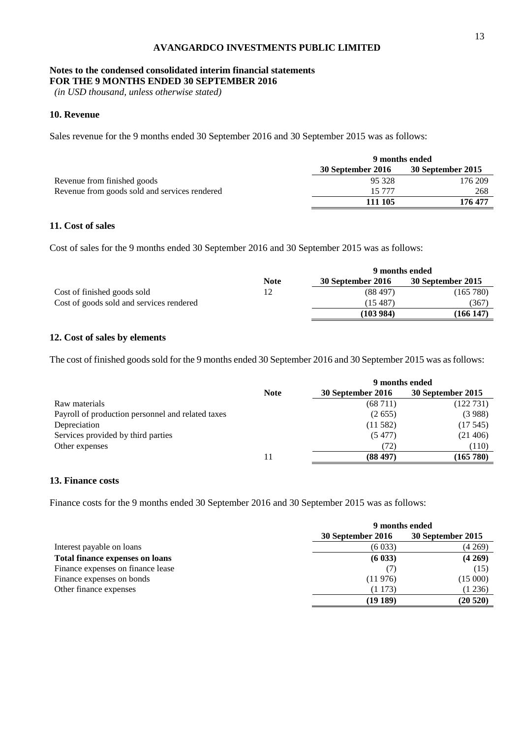#### **Notes to the condensed consolidated interim financial statements FOR THE 9 MONTHS ENDED 30 SEPTEMBER 2016**

*(in USD thousand, unless otherwise stated)*

# **10. Revenue**

Sales revenue for the 9 months ended 30 September 2016 and 30 September 2015 was as follows:

|                                               | 9 months ended    |                   |
|-----------------------------------------------|-------------------|-------------------|
|                                               | 30 September 2016 | 30 September 2015 |
| Revenue from finished goods                   | 95 328            | 176 209           |
| Revenue from goods sold and services rendered | 15 777            | 268               |
|                                               | 111 105           | 176 477           |

# **11. Cost of sales**

Cost of sales for the 9 months ended 30 September 2016 and 30 September 2015 was as follows:

|                                          |             | 9 months ended    |                   |  |
|------------------------------------------|-------------|-------------------|-------------------|--|
|                                          | <b>Note</b> | 30 September 2016 | 30 September 2015 |  |
| Cost of finished goods sold              | 12          | (88497)           | (165 780)         |  |
| Cost of goods sold and services rendered |             | (15 487)          | (367              |  |
|                                          |             | (103984)          | (166 147          |  |

### **12. Cost of sales by elements**

The cost of finished goods sold for the 9 months ended 30 September 2016 and 30 September 2015 was as follows:

|                                                   | 9 months ended |                   |                   |
|---------------------------------------------------|----------------|-------------------|-------------------|
|                                                   | <b>Note</b>    | 30 September 2016 | 30 September 2015 |
| Raw materials                                     |                | (68711)           | (122 731)         |
| Payroll of production personnel and related taxes |                | (2.655)           | (3988)            |
| Depreciation                                      |                | (11582)           | (17.545)          |
| Services provided by third parties                |                | (5477)            | (21406)           |
| Other expenses                                    |                | (72)              | (110)             |
|                                                   |                | (88497)           | (165 780)         |

## **13. Finance costs**

Finance costs for the 9 months ended 30 September 2016 and 30 September 2015 was as follows:

|                                        | 9 months ended    |                   |
|----------------------------------------|-------------------|-------------------|
|                                        | 30 September 2016 | 30 September 2015 |
| Interest payable on loans              | (6033)            | (4269)            |
| <b>Total finance expenses on loans</b> | (6033)            | (4269)            |
| Finance expenses on finance lease      |                   | (15)              |
| Finance expenses on bonds              | (11976)           | (15000)           |
| Other finance expenses                 | (1173)            | (1236)            |
|                                        | (19189)           | (20520)           |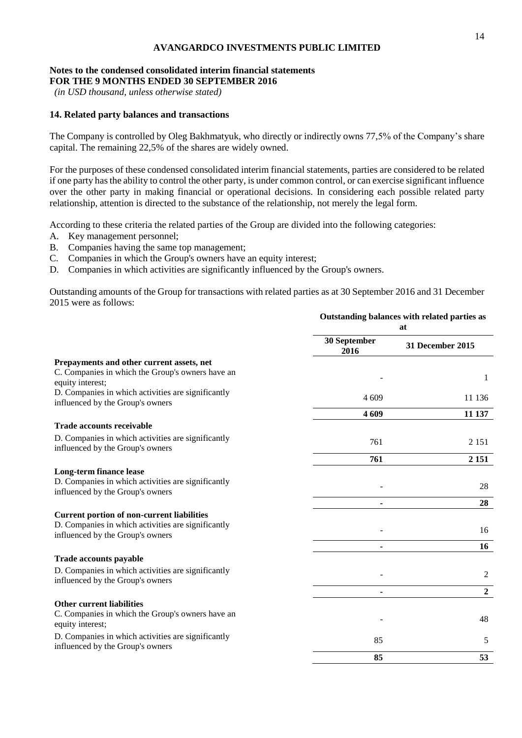#### **Notes to the condensed consolidated interim financial statements FOR THE 9 MONTHS ENDED 30 SEPTEMBER 2016**

*(in USD thousand, unless otherwise stated)*

# **14. Related party balances and transactions**

The Company is controlled by Oleg Bakhmatyuk, who directly or indirectly owns 77,5% of the Company's share capital. The remaining 22,5% of the shares are widely owned.

For the purposes of these condensed consolidated interim financial statements, parties are considered to be related if one party has the ability to control the other party, is under common control, or can exercise significant influence over the other party in making financial or operational decisions. In considering each possible related party relationship, attention is directed to the substance of the relationship, not merely the legal form.

According to these criteria the related parties of the Group are divided into the following categories:

- A. Key management personnel;
- B. Companies having the same top management;
- C. Companies in which the Group's owners have an equity interest;
- D. Companies in which activities are significantly influenced by the Group's owners.

Outstanding amounts of the Group for transactions with related parties as at 30 September 2016 and 31 December 2015 were as follows:

|                                                                                        | Outstanding balances with related parties as<br>at |                         |
|----------------------------------------------------------------------------------------|----------------------------------------------------|-------------------------|
|                                                                                        | 30 September<br>2016                               | <b>31 December 2015</b> |
| Prepayments and other current assets, net                                              |                                                    |                         |
| C. Companies in which the Group's owners have an<br>equity interest;                   |                                                    | 1                       |
| D. Companies in which activities are significantly<br>influenced by the Group's owners | 4 609                                              | 11 136                  |
|                                                                                        | 4 6 0 9                                            | 11 137                  |
| <b>Trade accounts receivable</b>                                                       |                                                    |                         |
| D. Companies in which activities are significantly<br>influenced by the Group's owners | 761                                                | 2 1 5 1                 |
|                                                                                        | 761                                                | 2 1 5 1                 |
| <b>Long-term finance lease</b>                                                         |                                                    |                         |
| D. Companies in which activities are significantly<br>influenced by the Group's owners |                                                    | 28                      |
|                                                                                        |                                                    | 28                      |
| <b>Current portion of non-current liabilities</b>                                      |                                                    |                         |
| D. Companies in which activities are significantly<br>influenced by the Group's owners |                                                    | 16                      |
|                                                                                        |                                                    | 16                      |
| Trade accounts payable                                                                 |                                                    |                         |
| D. Companies in which activities are significantly<br>influenced by the Group's owners |                                                    | $\overline{2}$          |
|                                                                                        |                                                    | $\overline{2}$          |
| <b>Other current liabilities</b>                                                       |                                                    |                         |
| C. Companies in which the Group's owners have an<br>equity interest;                   |                                                    | 48                      |
| D. Companies in which activities are significantly<br>influenced by the Group's owners | 85                                                 | 5                       |
|                                                                                        | 85                                                 | 53                      |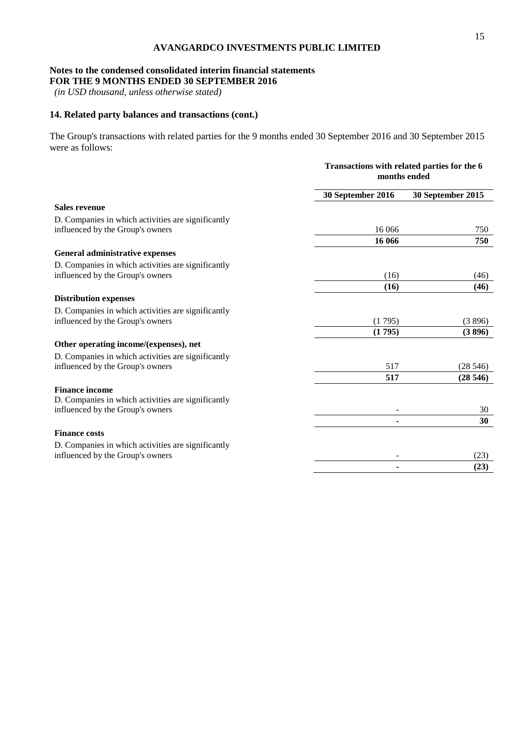### **Notes to the condensed consolidated interim financial statements FOR THE 9 MONTHS ENDED 30 SEPTEMBER 2016**

*(in USD thousand, unless otherwise stated)*

# **14. Related party balances and transactions (cont.)**

The Group's transactions with related parties for the 9 months ended 30 September 2016 and 30 September 2015 were as follows:

|                                                    | Transactions with related parties for the 6<br>months ended |                   |
|----------------------------------------------------|-------------------------------------------------------------|-------------------|
|                                                    | 30 September 2016                                           | 30 September 2015 |
| <b>Sales revenue</b>                               |                                                             |                   |
| D. Companies in which activities are significantly |                                                             |                   |
| influenced by the Group's owners                   | 16 06 6                                                     | 750               |
|                                                    | 16 066                                                      | 750               |
| General administrative expenses                    |                                                             |                   |
| D. Companies in which activities are significantly |                                                             |                   |
| influenced by the Group's owners                   | (16)                                                        | (46)              |
|                                                    | (16)                                                        | (46)              |
| <b>Distribution expenses</b>                       |                                                             |                   |
| D. Companies in which activities are significantly |                                                             |                   |
| influenced by the Group's owners                   | (1795)                                                      | (3896)            |
|                                                    | (1795)                                                      | (3896)            |
| Other operating income/(expenses), net             |                                                             |                   |
| D. Companies in which activities are significantly |                                                             |                   |
| influenced by the Group's owners                   | 517                                                         | (28546)           |
|                                                    | 517                                                         | (28546)           |
| <b>Finance income</b>                              |                                                             |                   |
| D. Companies in which activities are significantly |                                                             |                   |
| influenced by the Group's owners                   |                                                             | 30                |
|                                                    | ٠                                                           | 30                |
| <b>Finance costs</b>                               |                                                             |                   |
| D. Companies in which activities are significantly |                                                             |                   |
| influenced by the Group's owners                   |                                                             | (23)              |
|                                                    |                                                             | (23)              |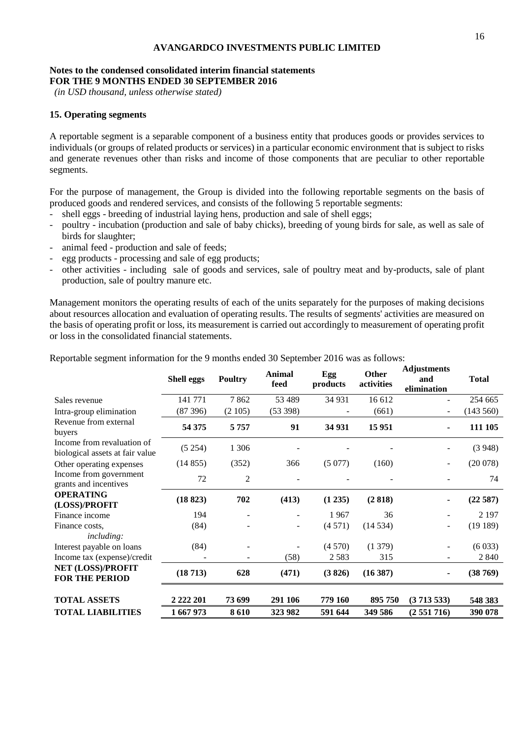#### **Notes to the condensed consolidated interim financial statements FOR THE 9 MONTHS ENDED 30 SEPTEMBER 2016**

*(in USD thousand, unless otherwise stated)*

# **15. Operating segments**

A reportable segment is a separable component of a business entity that produces goods or provides services to individuals (or groups of related products or services) in a particular economic environment that is subject to risks and generate revenues other than risks and income of those components that are peculiar to other reportable segments.

For the purpose of management, the Group is divided into the following reportable segments on the basis of produced goods and rendered services, and consists of the following 5 reportable segments:

- shell eggs breeding of industrial laying hens, production and sale of shell eggs;
- poultry incubation (production and sale of baby chicks), breeding of young birds for sale, as well as sale of birds for slaughter;
- animal feed production and sale of feeds;
- egg products processing and sale of egg products;
- other activities including sale of goods and services, sale of poultry meat and by-products, sale of plant production, sale of poultry manure etc.

Management monitors the operating results of each of the units separately for the purposes of making decisions about resources allocation and evaluation of operating results. The results of segments' activities are measured on the basis of operating profit or loss, its measurement is carried out accordingly to measurement of operating profit or loss in the consolidated financial statements.

|                                                               | Shell eggs | <b>Poultry</b>           | <b>Animal</b><br>feed | Egg<br>products | Other<br>activities | таразинств<br>and<br>elimination | <b>Total</b> |
|---------------------------------------------------------------|------------|--------------------------|-----------------------|-----------------|---------------------|----------------------------------|--------------|
| Sales revenue                                                 | 141 771    | 7862                     | 53 489                | 34 931          | 16 612              |                                  | 254 665      |
| Intra-group elimination                                       | (87396)    | (2105)                   | (53 398)              |                 | (661)               | $\overline{\phantom{a}}$         | (143 560)    |
| Revenue from external<br>buyers                               | 54 375     | 5757                     | 91                    | 34 931          | 15 951              | $\blacksquare$                   | 111 105      |
| Income from revaluation of<br>biological assets at fair value | (5254)     | 1 3 0 6                  |                       |                 |                     |                                  | (3948)       |
| Other operating expenses                                      | (14855)    | (352)                    | 366                   | (5077)          | (160)               | ÷                                | (20078)      |
| Income from government<br>grants and incentives               | 72         | 2                        |                       |                 |                     |                                  | 74           |
| <b>OPERATING</b><br>(LOSS)/PROFIT                             | (18823)    | 702                      | (413)                 | (1 235)         | (2818)              |                                  | (22587)      |
| Finance income                                                | 194        |                          |                       | 1967            | 36                  |                                  | 2 1 9 7      |
| Finance costs.<br><i>including:</i>                           | (84)       |                          |                       | (4571)          | (14534)             | Ξ.                               | (19189)      |
| Interest payable on loans                                     | (84)       |                          |                       | (4570)          | (1379)              |                                  | (6033)       |
| Income tax (expense)/credit                                   |            | $\overline{\phantom{0}}$ | (58)                  | 2 5 8 3         | 315                 | Ξ.                               | 2 8 4 0      |
| NET (LOSS)/PROFIT<br><b>FOR THE PERIOD</b>                    | (18713)    | 628                      | (471)                 | (3826)          | (16387)             | ٠                                | (38769)      |
| <b>TOTAL ASSETS</b>                                           | 2 222 201  | 73 699                   | 291 106               | 779 160         | 895 750             | (3713533)                        | 548 383      |
| <b>TOTAL LIABILITIES</b>                                      | 1 667 973  | 8610                     | 323 982               | 591 644         | 349 586             | (2551716)                        | 390 078      |

Reportable segment information for the 9 months ended 30 September 2016 was as follows:

**Adjustments**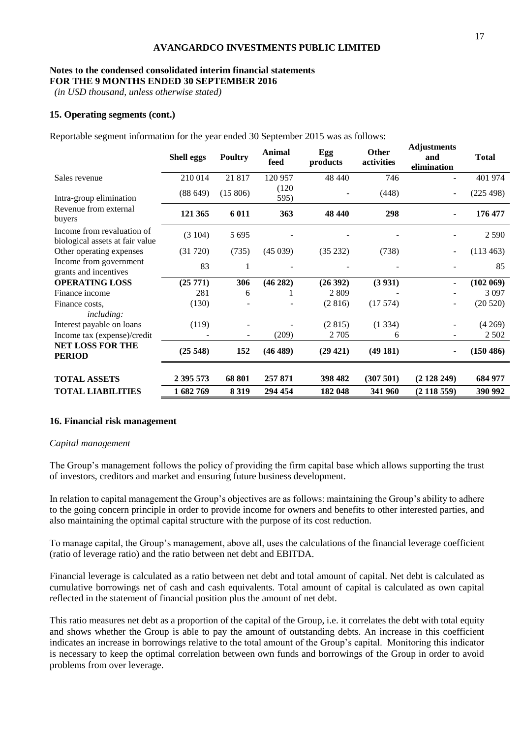#### **Notes to the condensed consolidated interim financial statements FOR THE 9 MONTHS ENDED 30 SEPTEMBER 2016**

*(in USD thousand, unless otherwise stated)*

# **15. Operating segments (cont.)**

Reportable segment information for the year ended 30 September 2015 was as follows:

|                                                               | <b>Shell eggs</b> | <b>Poultry</b> | Animal<br>feed | Egg<br>products | Other<br>activities | <b>Adjustments</b><br>and<br>elimination | <b>Total</b> |
|---------------------------------------------------------------|-------------------|----------------|----------------|-----------------|---------------------|------------------------------------------|--------------|
| Sales revenue                                                 | 210 014           | 21 817         | 120 957        | 48 440          | 746                 |                                          | 401 974      |
| Intra-group elimination                                       | (88649)           | (15806)        | (120)<br>595)  |                 | (448)               | $\overline{\phantom{a}}$                 | (225 498)    |
| Revenue from external<br>buyers                               | 121 365           | 6 0 11         | 363            | 48 440          | 298                 | Ξ.                                       | 176 477      |
| Income from revaluation of<br>biological assets at fair value | (3104)            | 5 6 9 5        |                |                 |                     |                                          | 2 5 9 0      |
| Other operating expenses                                      | (31 720)          | (735)          | (45039)        | (35 232)        | (738)               |                                          | (113 463)    |
| Income from government<br>grants and incentives               | 83                | 1              |                |                 |                     |                                          | 85           |
| <b>OPERATING LOSS</b>                                         | (25 771)          | 306            | (46282)        | (26392)         | (3 931)             |                                          | (102 069)    |
| Finance income                                                | 281               | 6              |                | 2 8 0 9         |                     |                                          | 3 0 9 7      |
| Finance costs.<br><i>including:</i>                           | (130)             |                |                | (2816)          | (17574)             |                                          | (20520)      |
| Interest payable on loans                                     | (119)             |                |                | (2815)          | (1334)              |                                          | (4269)       |
| Income tax (expense)/credit                                   |                   |                | (209)          | 2 7 0 5         | 6                   |                                          | 2 5 0 2      |
| <b>NET LOSS FOR THE</b><br><b>PERIOD</b>                      | (25548)           | 152            | (46 489)       | (29 421)        | (49181)             |                                          | (150 486)    |
| <b>TOTAL ASSETS</b>                                           | 2 395 573         | 68 801         | 257 871        | 398 482         | (307501)            | (2128249)                                | 684 977      |
| <b>TOTAL LIABILITIES</b>                                      | 1682769           | 8 3 1 9        | 294 454        | 182 048         | 341 960             | (2118559)                                | 390 992      |

# **16. Financial risk management**

### *Capital management*

The Group's management follows the policy of providing the firm capital base which allows supporting the trust of investors, creditors and market and ensuring future business development.

In relation to capital management the Group's objectives are as follows: maintaining the Group's ability to adhere to the going concern principle in order to provide income for owners and benefits to other interested parties, and also maintaining the optimal capital structure with the purpose of its cost reduction.

To manage capital, the Group's management, above all, uses the calculations of the financial leverage coefficient (ratio of leverage ratio) and the ratio between net debt and EBITDA.

Financial leverage is calculated as a ratio between net debt and total amount of capital. Net debt is calculated as cumulative borrowings net of cash and cash equivalents. Total amount of capital is calculated as own capital reflected in the statement of financial position plus the amount of net debt.

This ratio measures net debt as a proportion of the capital of the Group, i.e. it correlates the debt with total equity and shows whether the Group is able to pay the amount of outstanding debts. An increase in this coefficient indicates an increase in borrowings relative to the total amount of the Group's capital. Monitoring this indicator is necessary to keep the optimal correlation between own funds and borrowings of the Group in order to avoid problems from over leverage.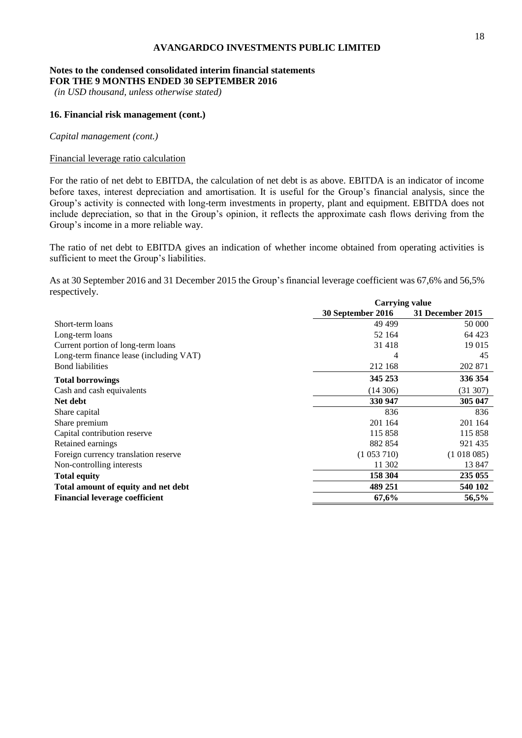#### **Notes to the condensed consolidated interim financial statements FOR THE 9 MONTHS ENDED 30 SEPTEMBER 2016**

*(in USD thousand, unless otherwise stated)*

# **16. Financial risk management (cont.)**

*Capital management (cont.)*

#### Financial leverage ratio calculation

For the ratio of net debt to EBITDA, the calculation of net debt is as above. EBITDA is an indicator of income before taxes, interest depreciation and amortisation. It is useful for the Group's financial analysis, since the Group's activity is connected with long-term investments in property, plant and equipment. EBITDA does not include depreciation, so that in the Group's opinion, it reflects the approximate cash flows deriving from the Group's income in a more reliable way.

The ratio of net debt to EBITDA gives an indication of whether income obtained from operating activities is sufficient to meet the Group's liabilities.

As at 30 September 2016 and 31 December 2015 the Group's financial leverage coefficient was 67,6% and 56,5% respectively.

|                                         | <b>Carrying value</b> |                  |  |
|-----------------------------------------|-----------------------|------------------|--|
|                                         | 30 September 2016     | 31 December 2015 |  |
| Short-term loans                        | 49 4 99               | 50 000           |  |
| Long-term loans                         | 52 164                | 64 423           |  |
| Current portion of long-term loans      | 31 4 18               | 19 015           |  |
| Long-term finance lease (including VAT) | 4                     | 45               |  |
| <b>Bond</b> liabilities                 | 212 168               | 202 871          |  |
| <b>Total borrowings</b>                 | 345 253               | 336 354          |  |
| Cash and cash equivalents               | (14306)               | (31307)          |  |
| Net debt                                | 330 947               | 305 047          |  |
| Share capital                           | 836                   | 836              |  |
| Share premium                           | 201 164               | 201 164          |  |
| Capital contribution reserve            | 115 858               | 115 858          |  |
| Retained earnings                       | 882 854               | 921 435          |  |
| Foreign currency translation reserve    | (1053710)             | (1018085)        |  |
| Non-controlling interests               | 11 302                | 13 847           |  |
| <b>Total equity</b>                     | 158 304               | 235 055          |  |
| Total amount of equity and net debt     | 489 251               | 540 102          |  |
| <b>Financial leverage coefficient</b>   | 67,6%                 | 56,5%            |  |